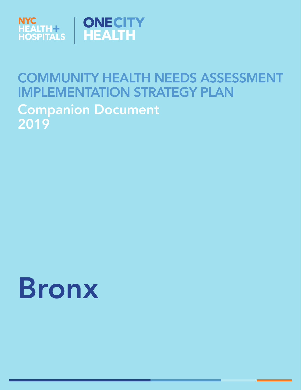

# COMMUNITY HEALTH NEEDS ASSESSMENT IMPLEMENTATION STRATEGY PLAN Companion Document 2019

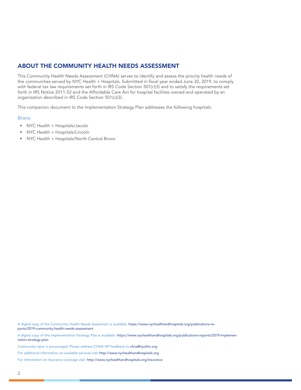## ABOUT THE COMMUNITY HEALTH NEEDS ASSESSMENT

This Community Health Needs Assessment (CHNA) serves to identify and assess the priority health needs of the communities served by NYC Health + Hospitals. Submitted in fiscal year ended June 30, 2019, to comply with federal tax law requirements set forth in IRS Code Section 501(r)(3) and to satisfy the requirements set forth in IRS Notice 2011-52 and the Affordable Care Act for hospital facilities owned and operated by an organization described in IRS Code Section 501(c)(3).

This companion document to the Implementation Strategy Plan addresses the following hospitals:

#### **Bronx**

- NYC Health + Hospitals/Jacobi
- NYC Health + Hospitals/Lincoln
- NYC Health + Hospitals/North Central Bronx

A digital copy of the Community Health Needs Asessment is available: https://www.nychealthandhospitals.org/publications-reports/2019-community-health-needs-assessment

A digital copy of this Implementation Strategy Plan is available: https://www.nychealthandhospitals.org/publications-reports/2019-implementation-strategy-plan

Community input is encouraged. Please address CHNA ISP feedback to chna@nychhc.org

For additional information on available services visit http://www.nychealthandhospitals.org

For information on insurance coverage visit: http://www.nychealthandhospitals.org/insurance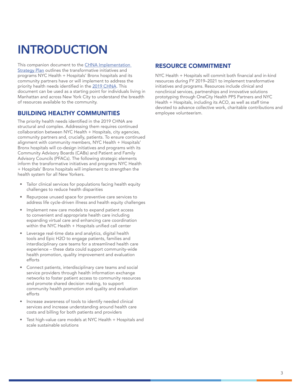# INTRODUCTION

This companion document to the CHNA Implementation Strategy Plan outlines the transformative initiatives and programs NYC Health + Hospitals' Bronx hospitals and its community partners have or will implement to address the priority health needs identified in the [2019 CHNA](http://www.nychealthandhospitals.org/publications-reports/chna). This document can be used as a starting point for individuals living in Manhattan and across New York City to understand the breadth of resources available to the community.

### BUILDING HEALTHY COMMUNITIES

The priority health needs identified in the 2019 CHNA are structural and complex. Addressing them requires continued collaboration between NYC Health + Hospitals, city agencies, community partners and, crucially, patients. To ensure continued alignment with community members, NYC Health + Hospitals' Bronx hospitals will co-design initiatives and programs with its Community Advisory Boards (CABs) and Patient and Family Advisory Councils (PFACs). The following strategic elements inform the transformative initiatives and programs NYC Health + Hospitals' Bronx hospitals will implement to strengthen the health system for all New Yorkers.

- Tailor clinical services for populations facing health equity challenges to reduce health disparities
- Repurpose unused space for preventive care services to address life cycle-driven illness and health equity challenges
- Implement new care models to expand patient access to convenient and appropriate health care including expanding virtual care and enhancing care coordination within the NYC Health + Hospitals unified call center
- Leverage real-time data and analytics, digital health tools and Epic H2O to engage patients, families and interdisciplinary care teams for a streamlined health care experience – these data could support community-wide health promotion, quality improvement and evaluation efforts
- Connect patients, interdisciplinary care teams and social service providers through health information exchange networks to foster patient access to community resources and promote shared decision making, to support community health promotion and quality and evaluation efforts
- Increase awareness of tools to identify needed clinical services and increase understanding around health care costs and billing for both patients and providers
- Test high-value care models at NYC Health + Hospitals and scale sustainable solutions

#### RESOURCE COMMITMENT

NYC Health + Hospitals will commit both financial and in-kind resources during FY 2019–2021 to implement transformative initiatives and programs. Resources include clinical and nonclinical services, partnerships and innovative solutions prototyping through OneCity Health PPS Partners and NYC Health + Hospitals, including its ACO, as well as staff time devoted to advance collective work, charitable contributions and employee volunteerism.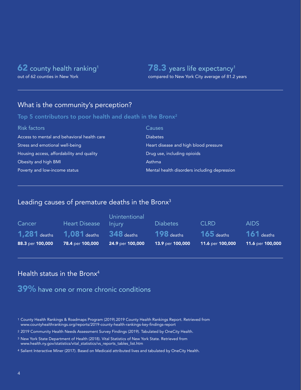## **62** county health ranking<sup>1</sup>

out of 62 counties in New York

## 78.3 years life expectancy<sup>1</sup>

compared to New York City average of 81.2 years

## What is the community's perception?

#### Top 5 contributors to poor health and death in the Bronx<sup>2</sup>

| Risk factors                                | Causes                                       |
|---------------------------------------------|----------------------------------------------|
| Access to mental and behavioral health care | <b>Diabetes</b>                              |
| Stress and emotional well-being             | Heart disease and high blood pressure        |
| Housing access, affordability and quality   | Drug use, including opioids                  |
| Obesity and high BMI                        | Asthma                                       |
| Poverty and low-income status               | Mental health disorders including depression |

## Leading causes of premature deaths in the Bronx<sup>3</sup>

| Cancer           | Heart Disease                                                  | Unintentional<br><b>Injury</b> | <b>Diabetes</b>                  | <b>CLRD</b>                      | AIDS.                            |
|------------------|----------------------------------------------------------------|--------------------------------|----------------------------------|----------------------------------|----------------------------------|
| 88.3 per 100,000 | $1,281$ deaths $1,081$ deaths $348$ deaths<br>78.4 per 100,000 | 24.9 per 100,000               | $198$ deaths<br>13.9 per 100,000 | $165$ deaths<br>11.6 per 100,000 | $161$ deaths<br>11.6 per 100,000 |

## Health status in the Bronx<sup>4</sup>

## 39% have one or more chronic conditions

- 1 County Health Rankings & Roadmaps Program (2019).2019 County Health Rankings Report. Retrieved from www.countyhealthrankings.org/reports/2019-county-health-rankings-key-findings-report
- 2 2019 Community Health Needs Assessment Survey Findings (2019). Tabulated by OneCity Health.
- 3 New York State Department of Health (2018). Vital Statistics of New York State. Retrieved from www.health.ny.gov/statistics/vital\_statistics/vs\_reports\_tables\_list.htm
- 4 Salient Interactive Miner (2017). Based on Medicaid attributed lives and tabulated by OneCity Health.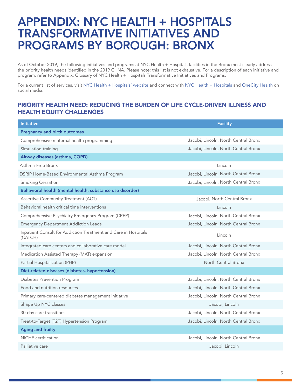## APPENDIX: NYC HEALTH + HOSPITALS TRANSFORMATIVE INITIATIVES AND PROGRAMS BY BOROUGH: BRONX

As of October 2019, the following initiatives and programs at NYC Health + Hospitals facilities in the Bronx most clearly address the priority health needs identified in the 2019 CHNA. Please note: this list is not exhaustive. For a description of each initiative and program, refer to Appendix: Glossary of NYC Health + Hospitals Transformative Initiatives and Programs.

For a current list of services, visit [NYC Health + Hospitals' website](https://www.nychealthandhospitals.org/services/) and connect with [NYC Health + Hospitals](https://www.nychealthandhospitals.org/social-media/) and [OneCity Health](https://twitter.com/onecityhealth) on social media.

#### PRIORITY HEALTH NEED: REDUCING THE BURDEN OF LIFE CYCLE-DRIVEN ILLNESS AND HEALTH EQUITY CHALLENGES

| <b>Initiative</b>                                                          | <b>Facility</b>                      |
|----------------------------------------------------------------------------|--------------------------------------|
| <b>Pregnancy and birth outcomes</b>                                        |                                      |
| Comprehensive maternal health programming                                  | Jacobi, Lincoln, North Central Bronx |
| Simulation training                                                        | Jacobi, Lincoln, North Central Bronx |
| Airway diseases (asthma, COPD)                                             |                                      |
| Asthma-Free Bronx                                                          | Lincoln                              |
| DSRIP Home-Based Environmental Asthma Program                              | Jacobi, Lincoln, North Central Bronx |
| <b>Smoking Cessation</b>                                                   | Jacobi, Lincoln, North Central Bronx |
| Behavioral health (mental health, substance use disorder)                  |                                      |
| Assertive Community Treatment (ACT)                                        | Jacobi, North Central Bronx          |
| Behavioral health critical time interventions                              | Lincoln                              |
| Comprehensive Psychiatry Emergency Program (CPEP)                          | Jacobi, Lincoln, North Central Bronx |
| <b>Emergency Department Addiction Leads</b>                                | Jacobi, Lincoln, North Central Bronx |
| Inpatient Consult for Addiction Treatment and Care in Hospitals<br>(CATCH) | Lincoln                              |
| Integrated care centers and collaborative care model                       | Jacobi, Lincoln, North Central Bronx |
| Medication Assisted Therapy (MAT) expansion                                | Jacobi, Lincoln, North Central Bronx |
| Partial Hospitalization (PHP)                                              | North Central Bronx                  |
| Diet-related diseases (diabetes, hypertension)                             |                                      |
| Diabetes Prevention Program                                                | Jacobi, Lincoln, North Central Bronx |
| Food and nutrition resources                                               | Jacobi, Lincoln, North Central Bronx |
| Primary care-centered diabetes management initiative                       | Jacobi, Lincoln, North Central Bronx |
| Shape Up NYC classes                                                       | Jacobi, Lincoln                      |
| 30-day care transitions                                                    | Jacobi, Lincoln, North Central Bronx |
| Treat-to-Target (T2T) Hypertension Program                                 | Jacobi, Lincoln, North Central Bronx |
| <b>Aging and frailty</b>                                                   |                                      |
| <b>NICHE</b> certification                                                 | Jacobi, Lincoln, North Central Bronx |
| Palliative care                                                            | Jacobi, Lincoln                      |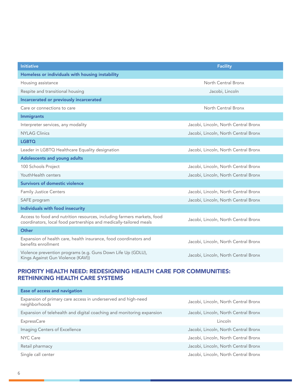| <b>Initiative</b>                                                                                                                             | <b>Facility</b>                      |
|-----------------------------------------------------------------------------------------------------------------------------------------------|--------------------------------------|
| Homeless or individuals with housing instability                                                                                              |                                      |
| Housing assistance                                                                                                                            | North Central Bronx                  |
| Respite and transitional housing                                                                                                              | Jacobi, Lincoln                      |
| Incarcerated or previously incarcerated                                                                                                       |                                      |
| Care or connections to care                                                                                                                   | North Central Bronx                  |
| <b>Immigrants</b>                                                                                                                             |                                      |
| Interpreter services, any modality                                                                                                            | Jacobi, Lincoln, North Central Bronx |
| <b>NYLAG Clinics</b>                                                                                                                          | Jacobi, Lincoln, North Central Bronx |
| <b>LGBTQ</b>                                                                                                                                  |                                      |
| Leader in LGBTQ Healthcare Equality designation                                                                                               | Jacobi, Lincoln, North Central Bronx |
| Adolescents and young adults                                                                                                                  |                                      |
| 100 Schools Project                                                                                                                           | Jacobi, Lincoln, North Central Bronx |
| YouthHealth centers                                                                                                                           | Jacobi, Lincoln, North Central Bronx |
| <b>Survivors of domestic violence</b>                                                                                                         |                                      |
| <b>Family Justice Centers</b>                                                                                                                 | Jacobi, Lincoln, North Central Bronx |
| SAFE program                                                                                                                                  | Jacobi, Lincoln, North Central Bronx |
| Individuals with food insecurity                                                                                                              |                                      |
| Access to food and nutrition resources, including farmers markets, food<br>coordinators, local food partnerships and medically-tailored meals | Jacobi, Lincoln, North Central Bronx |
| Other                                                                                                                                         |                                      |
| Expansion of health care, health insurance, food coordinators and<br>benefits enrollment                                                      | Jacobi, Lincoln, North Central Bronx |
| Violence prevention programs (e.g. Guns Down Life Up (GDLU),<br>Kings Against Gun Violence (KAVI))                                            | Jacobi, Lincoln, North Central Bronx |

## PRIORITY HEALTH NEED: REDESIGNING HEALTH CARE FOR COMMUNITIES: RETHINKING HEALTH CARE SYSTEMS

| Ease of access and navigation                                                  |                                      |
|--------------------------------------------------------------------------------|--------------------------------------|
| Expansion of primary care access in underserved and high-need<br>neighborhoods | Jacobi, Lincoln, North Central Bronx |
| Expansion of telehealth and digital coaching and monitoring expansion          | Jacobi, Lincoln, North Central Bronx |
| <b>ExpressCare</b>                                                             | Lincoln                              |
| Imaging Centers of Excellence                                                  | Jacobi, Lincoln, North Central Bronx |
| NYC Care                                                                       | Jacobi, Lincoln, North Central Bronx |
| Retail pharmacy                                                                | Jacobi, Lincoln, North Central Bronx |
| Single call center                                                             | Jacobi, Lincoln, North Central Bronx |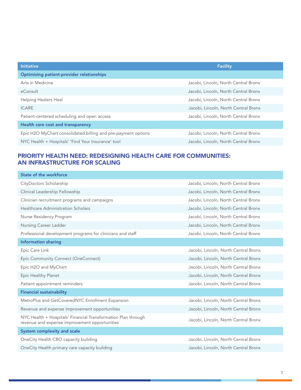| <b>Initiative</b>                                             | <b>Facility</b>                      |
|---------------------------------------------------------------|--------------------------------------|
| <b>Optimizing patient-provider relationships</b>              |                                      |
| Arts in Medicine                                              | Jacobi, Lincoln, North Central Bronx |
| eConsult                                                      | Jacobi, Lincoln, North Central Bronx |
| Helping Healers Heal                                          | Jacobi, Lincoln, North Central Bronx |
| <b>ICARE</b>                                                  | Jacobi, Lincoln, North Central Bronx |
| Patient-centered scheduling and open access                   | Jacobi, Lincoln, North Central Bronx |
| Health care cost and transparency                             |                                      |
| Epic H2O MyChart consolidated billing and pre-payment options | Jacobi, Lincoln, North Central Bronx |
| NYC Health + Hospitals' 'Find Your Insurance' tool            | Jacobi, Lincoln, North Central Bronx |

## PRIORITY HEALTH NEED: REDESIGNING HEALTH CARE FOR COMMUNITIES: AN INFRASTRUCTURE FOR SCALING

| State of the workforce                                                                                         |                                      |
|----------------------------------------------------------------------------------------------------------------|--------------------------------------|
| CityDoctors Scholarship                                                                                        | Jacobi, Lincoln, North Central Bronx |
| Clinical Leadership Fellowship                                                                                 | Jacobi, Lincoln, North Central Bronx |
| Clinician recruitment programs and campaigns                                                                   | Jacobi, Lincoln, North Central Bronx |
| <b>Healthcare Administration Scholars</b>                                                                      | Jacobi, Lincoln, North Central Bronx |
| Nurse Residency Program                                                                                        | Jacobi, Lincoln, North Central Bronx |
| Nursing Career Ladder                                                                                          | Jacobi, Lincoln, North Central Bronx |
| Professional development programs for clinicians and staff                                                     | Jacobi, Lincoln, North Central Bronx |
| <b>Information sharing</b>                                                                                     |                                      |
| Epic Care Link                                                                                                 | Jacobi, Lincoln, North Central Bronx |
| Epic Community Connect (OneConnect)                                                                            | Jacobi, Lincoln, North Central Bronx |
| Epic H2O and MyChart                                                                                           | Jacobi, Lincoln, North Central Bronx |
| Epic Healthy Planet                                                                                            | Jacobi, Lincoln, North Central Bronx |
| Patient appointment reminders                                                                                  | Jacobi, Lincoln, North Central Bronx |
| <b>Financial sustainability</b>                                                                                |                                      |
| MetroPlus and GetCoveredNYC Enrollment Expansion                                                               | Jacobi, Lincoln, North Central Bronx |
| Revenue and expense improvement opportunities                                                                  | Jacobi, Lincoln, North Central Bronx |
| NYC Health + Hospitals' Financial Transformation Plan through<br>revenue and expense improvement opportunities | Jacobi, Lincoln, North Central Bronx |
| System complexity and scale                                                                                    |                                      |
| OneCity Health CBO capacity building                                                                           | Jacobi, Lincoln, North Central Bronx |
| OneCity Health primary care capacity building                                                                  | Jacobi, Lincoln, North Central Bronx |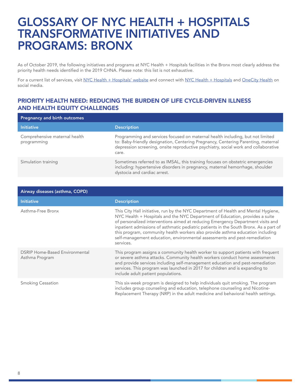## GLOSSARY OF NYC HEALTH + HOSPITALS TRANSFORMATIVE INITIATIVES AND PROGRAMS: BRONX

As of October 2019, the following initiatives and programs at NYC Health + Hospitals facilities in the Bronx most clearly address the priority health needs identified in the 2019 CHNA. Please note: this list is not exhaustive.

For a current list of services, visit [NYC Health + Hospitals' website](https://www.nychealthandhospitals.org/services/) and connect with [NYC Health + Hospitals](https://www.nychealthandhospitals.org/social-media/) and [OneCity Health](https://twitter.com/onecityhealth) on social media.

#### PRIORITY HEALTH NEED: REDUCING THE BURDEN OF LIFE CYCLE-DRIVEN ILLNESS AND HEALTH EQUITY CHALLENGES

| Pregnancy and birth outcomes                 |                                                                                                                                                                                                                                                                     |  |
|----------------------------------------------|---------------------------------------------------------------------------------------------------------------------------------------------------------------------------------------------------------------------------------------------------------------------|--|
| <b>Initiative</b>                            | <b>Description</b>                                                                                                                                                                                                                                                  |  |
| Comprehensive maternal health<br>programming | Programming and services focused on maternal health including, but not limited<br>to: Baby-friendly designation, Centering Pregnancy, Centering Parenting, maternal<br>depression screening, onsite reproductive psychiatry, social work and collaborative<br>care. |  |
| Simulation training                          | Sometimes referred to as IMSAL, this training focuses on obstetric emergencies<br>including: hypertensive disorders in pregnancy, maternal hemorrhage, shoulder<br>dystocia and cardiac arrest.                                                                     |  |

| Airway diseases (asthma, COPD)                          |                                                                                                                                                                                                                                                                                                                                                                                                                                                                                                                            |  |
|---------------------------------------------------------|----------------------------------------------------------------------------------------------------------------------------------------------------------------------------------------------------------------------------------------------------------------------------------------------------------------------------------------------------------------------------------------------------------------------------------------------------------------------------------------------------------------------------|--|
| <b>Initiative</b>                                       | <b>Description</b>                                                                                                                                                                                                                                                                                                                                                                                                                                                                                                         |  |
| Asthma-Free Bronx                                       | This City Hall initiative, run by the NYC Department of Health and Mental Hygiene,<br>NYC Health + Hospitals and the NYC Department of Education, provides a suite<br>of personalized interventions aimed at reducing Emergency Department visits and<br>inpatient admissions of asthmatic pediatric patients in the South Bronx. As a part of<br>this program, community health workers also provide asthma education including<br>self-management education, environmental assessments and pest-remediation<br>services. |  |
| <b>DSRIP Home-Based Environmental</b><br>Asthma Program | This program assigns a community health worker to support patients with frequent<br>or severe asthma attacks. Community health workers conduct home assessments<br>and provide services including self-management education and pest-remediation<br>services. This program was launched in 2017 for children and is expanding to<br>include adult patient populations.                                                                                                                                                     |  |
| <b>Smoking Cessation</b>                                | This six-week program is designed to help individuals quit smoking. The program<br>includes group counseling and education, telephone counseling and Nicotine-<br>Replacement Therapy (NRP) in the adult medicine and behavioral health settings.                                                                                                                                                                                                                                                                          |  |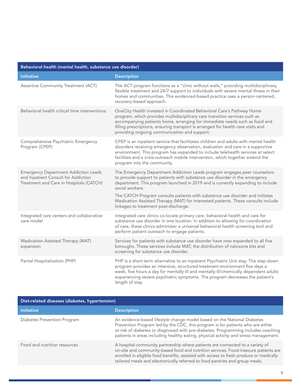| Behavioral health (mental health, substance use disorder)                                                                     |                                                                                                                                                                                                                                                                                                                                                                                                                                                                              |  |
|-------------------------------------------------------------------------------------------------------------------------------|------------------------------------------------------------------------------------------------------------------------------------------------------------------------------------------------------------------------------------------------------------------------------------------------------------------------------------------------------------------------------------------------------------------------------------------------------------------------------|--|
| <b>Initiative</b>                                                                                                             | <b>Description</b>                                                                                                                                                                                                                                                                                                                                                                                                                                                           |  |
| Assertive Community Treatment (ACT)                                                                                           | The ACT program functions as a "clinic without walls," providing multidisciplinary,<br>flexible treatment and 24/7 support to individuals with severe mental illness in their<br>homes and communities. This evidenced-based practice uses a person-centered,<br>recovery-based approach.                                                                                                                                                                                    |  |
| Behavioral health critical time interventions                                                                                 | OneCity Health invested in Coordinated Behavioral Care's Pathway Home<br>program, which provides multidisciplinary care transition services such as<br>accompanying patients home, arranging for immediate needs such as food and<br>filling prescriptions, ensuring transport is arranged for health care visits and<br>providing ongoing communication and support.                                                                                                        |  |
| Comprehensive Psychiatric Emergency<br>Program (CPEP)                                                                         | CPEP is an inpatient service that facilitates children and adults with mental health<br>disorders receiving emergency observation, evaluation and care in a supportive<br>environment. This program has expanded to include telehealth services at select<br>facilities and a crisis-outreach mobile intervention, which together extend the<br>program into the community.                                                                                                  |  |
| <b>Emergency Department Addiction Leads</b><br>and Inpatient Consult for Addiction<br>Treatment and Care in Hospitals (CATCH) | The Emergency Department Addiction Leads program engages peer counselors<br>to provide support to patients with substance use disorder in the emergency<br>department. This program launched in 2019 and is currently expanding to include<br>social workers.<br>The CATCH Program consults patients with substance use disorder and initiates<br>Medication Assisted Therapy (MAT) for interested patients. These consults include<br>linkages to treatment post-discharge. |  |
| Integrated care centers and collaborative<br>care model                                                                       | Integrated care clinics co-locate primary care, behavioral health and care for<br>substance use disorder in one location. In addition to allowing for coordination<br>of care, these clinics administer a universal behavioral health screening tool and<br>perform patient outreach to engage patients.                                                                                                                                                                     |  |
| Medication Assisted Therapy (MAT)<br>expansion                                                                                | Services for patients with substance use disorder have now expanded to all five<br>boroughs. These services include MAT, the distribution of naloxone kits and<br>screening for substance use disorder.                                                                                                                                                                                                                                                                      |  |
| Partial Hospitalization (PHP)                                                                                                 | PHP is a short-term alternative to an Inpatient Psychiatric Unit stay. The step-down<br>program provides an intensive, structured treatment environment five days a<br>week, five hours a day for mentally-ill and mentally-ill/chemically dependent adults<br>experiencing severe psychiatric symptoms. The program decreases the patient's<br>length of stay.                                                                                                              |  |

| Diet-related diseases (diabetes, hypertension) |                                                                                                                                                                                                                                                                                                                                                |  |
|------------------------------------------------|------------------------------------------------------------------------------------------------------------------------------------------------------------------------------------------------------------------------------------------------------------------------------------------------------------------------------------------------|--|
| <b>Initiative</b>                              | <b>Description</b>                                                                                                                                                                                                                                                                                                                             |  |
| Diabetes Prevention Program                    | An evidence-based lifestyle change model based on the National Diabetes<br>Prevention Program led by the CDC, this program is for patients who are either<br>at-risk of diabetes or diagnosed with pre-diabetes. Programming includes coaching<br>patients in areas including healthy eating, physical activity and stress management.         |  |
| Food and nutrition resources                   | A hospital-community partnership where patients are connected to a variety of<br>on-site and community-based food and nutrition services. Food-insecure patients are<br>enrolled in eligible food benefits, assisted with access to fresh produce or medically<br>tailored meals and electronically referred to food pantries and group meals. |  |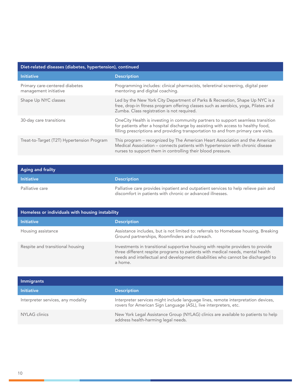| Diet-related diseases (diabetes, hypertension), continued |                                                                                                                                                                                                                                                              |  |
|-----------------------------------------------------------|--------------------------------------------------------------------------------------------------------------------------------------------------------------------------------------------------------------------------------------------------------------|--|
| <b>Initiative</b>                                         | <b>Description</b>                                                                                                                                                                                                                                           |  |
| Primary care-centered diabetes<br>management initiative   | Programming includes: clinical pharmacists, teleretinal screening, digital peer<br>mentoring and digital coaching.                                                                                                                                           |  |
| Shape Up NYC classes                                      | Led by the New York City Department of Parks & Recreation, Shape Up NYC is a<br>free, drop-in fitness program offering classes such as aerobics, yoga, Pilates and<br>Zumba. Class registration is not required.                                             |  |
| 30-day care transitions                                   | OneCity Health is investing in community partners to support seamless transition<br>for patients after a hospital discharge by assisting with access to healthy food,<br>filling prescriptions and providing transportation to and from primary care visits. |  |
| Treat-to-Target (T2T) Hypertension Program                | This program – recognized by The American Heart Association and the American<br>Medical Association - connects patients with hypertension with chronic disease<br>nurses to support them in controlling their blood pressure.                                |  |

| <b>Aging and frailty</b> |                                                                                                                                                   |
|--------------------------|---------------------------------------------------------------------------------------------------------------------------------------------------|
| <b>Initiative</b>        | <b>Description</b>                                                                                                                                |
| Palliative care          | Palliative care provides inpatient and outpatient services to help relieve pain and<br>discomfort in patients with chronic or advanced illnesses. |

| Homeless or individuals with housing instability |                                                                                                                                                                                                                                                                  |
|--------------------------------------------------|------------------------------------------------------------------------------------------------------------------------------------------------------------------------------------------------------------------------------------------------------------------|
| <b>Initiative</b>                                | <b>Description</b>                                                                                                                                                                                                                                               |
| Housing assistance                               | Assistance includes, but is not limited to: referrals to Homebase housing, Breaking<br>Ground partnerships, Roomfinders and outreach.                                                                                                                            |
| Respite and transitional housing                 | Investments in transitional supportive housing with respite providers to provide<br>three different respite programs to patients with medical needs, mental health<br>needs and intellectual and development disabilities who cannot be discharged to<br>a home. |

| <b>Immigrants</b>                  |                                                                                                                                                       |
|------------------------------------|-------------------------------------------------------------------------------------------------------------------------------------------------------|
| <b>Initiative</b>                  | <b>Description</b>                                                                                                                                    |
| Interpreter services, any modality | Interpreter services might include language lines, remote interpretation devices,<br>rovers for American Sign Language (ASL), live interpreters, etc. |
| NYLAG clinics                      | New York Legal Assistance Group (NYLAG) clinics are available to patients to help<br>address health-harming legal needs.                              |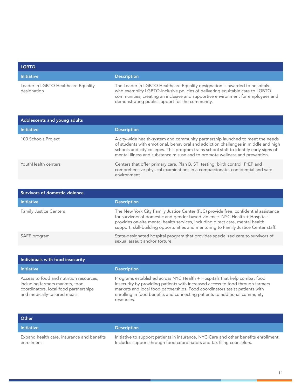| <b>LGBTQ</b>                                       |                                                                                                                                                                                                                                                |
|----------------------------------------------------|------------------------------------------------------------------------------------------------------------------------------------------------------------------------------------------------------------------------------------------------|
| <b>Initiative</b>                                  | <b>Description</b>                                                                                                                                                                                                                             |
| Leader in LGBTQ Healthcare Equality<br>designation | The Leader in LGBTQ Healthcare Equality designation is awarded to hospitals<br>who exemplify LGBTQ-inclusive policies of delivering equitable care to LGBTQ<br>communities, creating an inclusive and supportive environment for employees and |

demonstrating public support for the community.

| Adolescents and young adults |                                                                                                                                                                                                                                                                                                                                               |
|------------------------------|-----------------------------------------------------------------------------------------------------------------------------------------------------------------------------------------------------------------------------------------------------------------------------------------------------------------------------------------------|
| <b>Initiative</b>            | <b>Description</b>                                                                                                                                                                                                                                                                                                                            |
| 100 Schools Project          | A city-wide health-system and community partnership launched to meet the needs<br>of students with emotional, behavioral and addiction challenges in middle and high<br>schools and city colleges. This program trains school staff to identify early signs of<br>mental illness and substance misuse and to promote wellness and prevention. |
| YouthHealth centers          | Centers that offer primary care, Plan B, STI testing, birth control, PrEP and<br>comprehensive physical examinations in a compassionate, confidential and safe<br>environment.                                                                                                                                                                |

| Survivors of domestic violence |                                                                                                                                                                                                                                                                                                                                            |
|--------------------------------|--------------------------------------------------------------------------------------------------------------------------------------------------------------------------------------------------------------------------------------------------------------------------------------------------------------------------------------------|
| <b>Initiative</b>              | <b>Description</b>                                                                                                                                                                                                                                                                                                                         |
| <b>Family Justice Centers</b>  | The New York City Family Justice Center (FJC) provide free, confidential assistance<br>for survivors of domestic and gender-based violence. NYC Health + Hospitals<br>provides on-site mental health services, including direct care, mental health<br>support, skill-building opportunities and mentoring to Family Justice Center staff. |
| SAFE program                   | State-designated hospital program that provides specialized care to survivors of<br>sexual assault and/or torture.                                                                                                                                                                                                                         |

| Individuals with food insecurity                                                                                                                    |                                                                                                                                                                                                                                                                                                                                       |
|-----------------------------------------------------------------------------------------------------------------------------------------------------|---------------------------------------------------------------------------------------------------------------------------------------------------------------------------------------------------------------------------------------------------------------------------------------------------------------------------------------|
| <b>Initiative</b>                                                                                                                                   | <b>Description</b>                                                                                                                                                                                                                                                                                                                    |
| Access to food and nutrition resources,<br>including farmers markets, food<br>coordinators, local food partnerships<br>and medically-tailored meals | Programs established across NYC Health + Hospitals that help combat food<br>insecurity by providing patients with increased access to food through farmers<br>markets and local food partnerships. Food coordinators assist patients with<br>enrolling in food benefits and connecting patients to additional community<br>resources. |

| Other                                                    |                                                                                                                                                               |
|----------------------------------------------------------|---------------------------------------------------------------------------------------------------------------------------------------------------------------|
| l Initiative '                                           | <b>Description</b>                                                                                                                                            |
| Expand health care, insurance and benefits<br>enrollment | Initiative to support patients in insurance, NYC Care and other benefits enrollment.<br>Includes support through food coordinators and tax filing counselors. |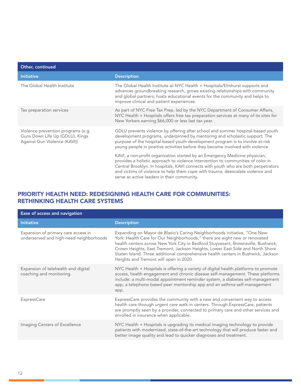| Other, continued                                                                                      |                                                                                                                                                                                                                                                                                                                                                                                        |
|-------------------------------------------------------------------------------------------------------|----------------------------------------------------------------------------------------------------------------------------------------------------------------------------------------------------------------------------------------------------------------------------------------------------------------------------------------------------------------------------------------|
| <b>Initiative</b>                                                                                     | <b>Description</b>                                                                                                                                                                                                                                                                                                                                                                     |
| The Global Health Institute                                                                           | The Global Health Institute at NYC Health + Hospitals/Elmhurst supports and<br>advances groundbreaking research, grows existing relationships with community<br>and global partners, hosts educational events for the community and helps to<br>improve clinical and patient experiences.                                                                                              |
| Tax preparation services                                                                              | As part of NYC Free Tax Prep, led by the NYC Department of Consumer Affairs,<br>NYC Health + Hospitals offers free tax preparation services at many of its sites for<br>New Yorkers earning \$66,000 or less last tax year.                                                                                                                                                            |
| Violence prevention programs (e.g.<br>Guns Down Life Up (GDLU), Kings<br>Against Gun Violence (KAVI)) | GDLU prevents violence by offering after school and summer hospital-based youth<br>development programs, underpinned by mentoring and scholastic support. The<br>purpose of the hospital-based youth development program is to involve at-risk<br>young people in positive activities before they become involved with violence.                                                       |
|                                                                                                       | KAVI, a non-profit organization started by an Emergency Medicine physician,<br>provides a holistic approach to violence intervention to communities of color in<br>Central Brooklyn. In hospitals, KAVI connects with youth who are both perpetrators<br>and victims of violence to help them cope with trauma, deescalate violence and<br>serve as active leaders in their community. |

## PRIORITY HEALTH NEED: REDESIGNING HEALTH CARE FOR COMMUNITIES: RETHINKING HEALTH CARE SYSTEMS

| Ease of access and navigation                                                  |                                                                                                                                                                                                                                                                                                                                                                                                                                                             |
|--------------------------------------------------------------------------------|-------------------------------------------------------------------------------------------------------------------------------------------------------------------------------------------------------------------------------------------------------------------------------------------------------------------------------------------------------------------------------------------------------------------------------------------------------------|
| <b>Initiative</b>                                                              | <b>Description</b>                                                                                                                                                                                                                                                                                                                                                                                                                                          |
| Expansion of primary care access in<br>underserved and high-need neighborhoods | Expanding on Mayor de Blasio's Caring Neighborhoods initiative, "One New<br>York: Health Care for Our Neighborhoods," there are eight new or renovated<br>health centers across New York City in Bedford Stuyvesant, Brownsville, Bushwick,<br>Crown Heights, East Tremont, Jackson Heights, Lower East Side and North Shore<br>Staten Island. Three additional comprehensive health centers in Bushwick, Jackson<br>Heights and Tremont will open in 2020. |
| Expansion of telehealth and digital<br>coaching and monitoring                 | NYC Health + Hospitals is offering a variety of digital health platforms to promote<br>access, health engagement and chronic disease self-management. These platforms<br>include: a multi-modal appointment reminder system, a diabetes self-management<br>app, a telephone based peer mentorship app and an asthma self-management<br>app.                                                                                                                 |
| <b>ExpressCare</b>                                                             | ExpressCare provides the community with a new and convenient way to access<br>health care through urgent care walk-in centers. Through ExpressCare, patients<br>are promptly seen by a provider, connected to primary care and other services and<br>enrolled in insurance when applicable.                                                                                                                                                                 |
| Imaging Centers of Excellence                                                  | NYC Health + Hospitals is upgrading its medical imaging technology to provide<br>patients with modernized, state-of-the-art technology that will produce faster and<br>better image quality and lead to quicker diagnoses and treatment.                                                                                                                                                                                                                    |
|                                                                                |                                                                                                                                                                                                                                                                                                                                                                                                                                                             |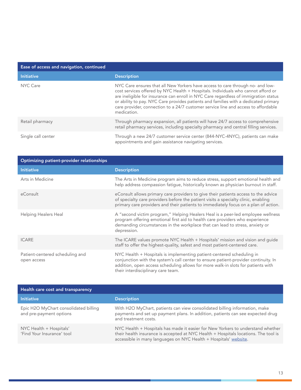| Ease of access and navigation, continued |                                                                                                                                                                                                                                                                                                                                                                                                                                                         |
|------------------------------------------|---------------------------------------------------------------------------------------------------------------------------------------------------------------------------------------------------------------------------------------------------------------------------------------------------------------------------------------------------------------------------------------------------------------------------------------------------------|
| <b>Initiative</b>                        | <b>Description</b>                                                                                                                                                                                                                                                                                                                                                                                                                                      |
| NYC Care                                 | NYC Care ensures that all New Yorkers have access to care through no- and low-<br>cost services offered by NYC Health + Hospitals. Individuals who cannot afford or<br>are ineligible for insurance can enroll in NYC Care regardless of immigration status<br>or ability to pay. NYC Care provides patients and families with a dedicated primary<br>care provider, connection to a 24/7 customer service line and access to affordable<br>medication. |
| Retail pharmacy                          | Through pharmacy expansion, all patients will have 24/7 access to comprehensive<br>retail pharmacy services, including specialty pharmacy and central filling services.                                                                                                                                                                                                                                                                                 |
| Single call center                       | Through a new 24/7 customer service center (844-NYC-4NYC), patients can make<br>appointments and gain assistance navigating services.                                                                                                                                                                                                                                                                                                                   |

| Optimizing patient-provider relationships      |                                                                                                                                                                                                                                                                                        |  |
|------------------------------------------------|----------------------------------------------------------------------------------------------------------------------------------------------------------------------------------------------------------------------------------------------------------------------------------------|--|
| <b>Initiative</b>                              | <b>Description</b>                                                                                                                                                                                                                                                                     |  |
| Arts in Medicine                               | The Arts in Medicine program aims to reduce stress, support emotional health and<br>help address compassion fatigue, historically known as physician burnout in staff.                                                                                                                 |  |
| eConsult                                       | eConsult allows primary care providers to give their patients access to the advice<br>of specialty care providers before the patient visits a specialty clinic, enabling<br>primary care providers and their patients to immediately focus on a plan of action.                        |  |
| <b>Helping Healers Heal</b>                    | A "second victim program," Helping Healers Heal is a peer-led employee wellness<br>program offering emotional first aid to health care providers who experience<br>demanding circumstances in the workplace that can lead to stress, anxiety or<br>depression.                         |  |
| <b>ICARE</b>                                   | The ICARE values promote NYC Health + Hospitals' mission and vision and guide<br>staff to offer the highest-quality, safest and most patient-centered care.                                                                                                                            |  |
| Patient-centered scheduling and<br>open access | NYC Health + Hospitals is implementing patient-centered scheduling in<br>conjunction with the system's call center to ensure patient-provider continuity. In<br>addition, open access scheduling allows for more walk-in slots for patients with<br>their interdisciplinary care team. |  |

| Health care cost and transparency                                |                                                                                                                                                                                                                                            |  |
|------------------------------------------------------------------|--------------------------------------------------------------------------------------------------------------------------------------------------------------------------------------------------------------------------------------------|--|
| <b>Initiative</b>                                                | <b>Description</b>                                                                                                                                                                                                                         |  |
| Epic H2O MyChart consolidated billing<br>and pre-payment options | With H2O MyChart, patients can view consolidated billing information, make<br>payments and set up payment plans. In addition, patients can see expected drug<br>and treatment costs.                                                       |  |
| NYC Health + Hospitals'<br>'Find Your Insurance' tool            | NYC Health + Hospitals has made it easier for New Yorkers to understand whether<br>their health insurance is accepted at NYC Health + Hospitals locations. The tool is<br>accessible in many languages on NYC Health + Hospitals' website. |  |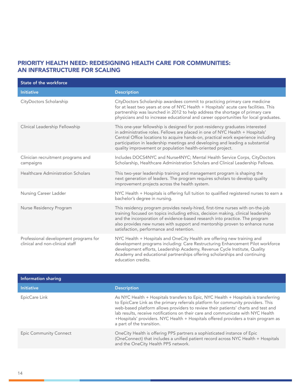### PRIORITY HEALTH NEED: REDESIGNING HEALTH CARE FOR COMMUNITIES: AN INFRASTRUCTURE FOR SCALING

| <b>State of the workforce</b>                                            |                                                                                                                                                                                                                                                                                                                                                                                                   |
|--------------------------------------------------------------------------|---------------------------------------------------------------------------------------------------------------------------------------------------------------------------------------------------------------------------------------------------------------------------------------------------------------------------------------------------------------------------------------------------|
| <b>Initiative</b>                                                        | <b>Description</b>                                                                                                                                                                                                                                                                                                                                                                                |
| CityDoctors Scholarship                                                  | CityDoctors Scholarship awardees commit to practicing primary care medicine<br>for at least two years at one of NYC Health + Hospitals' acute care facilities. This<br>partnership was launched in 2012 to help address the shortage of primary care<br>physicians and to increase educational and career opportunities for local graduates.                                                      |
| Clinical Leadership Fellowship                                           | This one-year fellowship is designed for post-residency graduates interested<br>in administrative roles. Fellows are placed in one of NYC Health + Hospitals'<br>Central Office locations to acquire hands-on, practical work experience including<br>participation in leadership meetings and developing and leading a substantial<br>quality improvement or population health-oriented project. |
| Clinician recruitment programs and<br>campaigns                          | Includes DOCS4NYC and Nurse4NYC; Mental Health Service Corps, CityDoctors<br>Scholarship, Healthcare Administration Scholars and Clinical Leadership Fellows.                                                                                                                                                                                                                                     |
| Healthcare Administration Scholars                                       | This two-year leadership training and management program is shaping the<br>next generation of leaders. The program requires scholars to develop quality<br>improvement projects across the health system.                                                                                                                                                                                         |
| Nursing Career Ladder                                                    | NYC Health + Hospitals is offering full tuition to qualified registered nurses to earn a<br>bachelor's degree in nursing.                                                                                                                                                                                                                                                                         |
| Nurse Residency Program                                                  | This residency program provides newly-hired, first-time nurses with on-the-job<br>training focused on topics including ethics, decision making, clinical leadership<br>and the incorporation of evidence-based research into practice. The program<br>also provides new nurses with support and mentorship proven to enhance nurse<br>satisfaction, performance and retention.                    |
| Professional development programs for<br>clinical and non-clinical staff | NYC Health + Hospitals and OneCity Health are offering new training and<br>development programs including: Care Restructuring Enhancement Pilot workforce<br>development efforts, Leadership Academy, Revenue Cycle Institute, Quality<br>Academy and educational partnerships offering scholarships and continuing<br>education credits.                                                         |

| Information sharing           |                                                                                                                                                                                                                                                                                                                                                                                                                                                                     |
|-------------------------------|---------------------------------------------------------------------------------------------------------------------------------------------------------------------------------------------------------------------------------------------------------------------------------------------------------------------------------------------------------------------------------------------------------------------------------------------------------------------|
| <b>Initiative</b>             | <b>Description</b>                                                                                                                                                                                                                                                                                                                                                                                                                                                  |
| EpicCare Link                 | As NYC Health + Hospitals transfers to Epic, NYC Health + Hospitals is transferring<br>to EpicCare Link as the primary referrals platform for community providers. This<br>web-based platform allows providers to review their patients' charts and test and<br>lab results, receive notifications on their care and communicate with NYC Health<br>+Hospitals' providers. NYC Health + Hospitals offered providers a train program as<br>a part of the transition. |
| <b>Epic Community Connect</b> | OneCity Health is offering PPS partners a sophisticated instance of Epic<br>(OneConnect) that includes a unified patient record across NYC Health + Hospitals<br>and the OneCity Health PPS network.                                                                                                                                                                                                                                                                |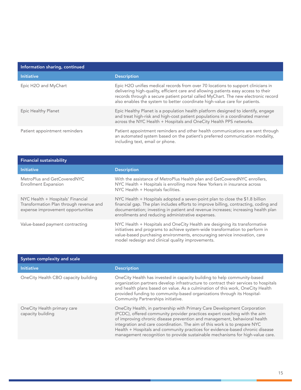| Information sharing, continued |                                                                                                                                                                                                                                                                                                                                           |  |
|--------------------------------|-------------------------------------------------------------------------------------------------------------------------------------------------------------------------------------------------------------------------------------------------------------------------------------------------------------------------------------------|--|
| <b>Initiative</b>              | <b>Description</b>                                                                                                                                                                                                                                                                                                                        |  |
| Epic H2O and MyChart           | Epic H2O unifies medical records from over 70 locations to support clinicians in<br>delivering high-quality, efficient care and allowing patients easy access to their<br>records through a secure patient portal called MyChart. The new electronic record<br>also enables the system to better coordinate high-value care for patients. |  |
| Epic Healthy Planet            | Epic Healthy Planet is a population health platform designed to identify, engage<br>and treat high-risk and high-cost patient populations in a coordinated manner<br>across the NYC Health + Hospitals and OneCity Health PPS networks.                                                                                                   |  |
| Patient appointment reminders  | Patient appointment reminders and other health communications are sent through<br>an automated system based on the patient's preferred communication modality,<br>including text, email or phone.                                                                                                                                         |  |

| <b>Financial sustainability</b>                                                                                   |                                                                                                                                                                                                                                                                                                                |
|-------------------------------------------------------------------------------------------------------------------|----------------------------------------------------------------------------------------------------------------------------------------------------------------------------------------------------------------------------------------------------------------------------------------------------------------|
| <b>Initiative</b>                                                                                                 | <b>Description</b>                                                                                                                                                                                                                                                                                             |
| MetroPlus and GetCoveredNYC<br><b>Enrollment Expansion</b>                                                        | With the assistance of MetroPlus Health plan and GetCoveredNYC enrollers,<br>NYC Health + Hospitals is enrolling more New Yorkers in insurance across<br>NYC Health + Hospitals facilities.                                                                                                                    |
| NYC Health + Hospitals' Financial<br>Transformation Plan through revenue and<br>expense improvement opportunities | NYC Health + Hospitals adopted a seven-point plan to close the \$1.8 billion<br>financial gap. The plan includes efforts to improve billing, contracting, coding and<br>documentation; investing in patient and revenue increases; increasing health plan<br>enrollments and reducing administrative expenses. |
| Value-based payment contracting                                                                                   | NYC Health + Hospitals and OneCity Health are designing its transformative<br>initiatives and programs to achieve system-wide transformation to perform in<br>value-based purchasing environments, encouraging service innovation, care<br>model redesign and clinical quality improvements.                   |

| System complexity and scale                      |                                                                                                                                                                                                                                                                                                                                                                                                                                                                                   |
|--------------------------------------------------|-----------------------------------------------------------------------------------------------------------------------------------------------------------------------------------------------------------------------------------------------------------------------------------------------------------------------------------------------------------------------------------------------------------------------------------------------------------------------------------|
| <b>Initiative</b>                                | <b>Description</b>                                                                                                                                                                                                                                                                                                                                                                                                                                                                |
| OneCity Health CBO capacity building             | OneCity Health has invested in capacity building to help community-based<br>organization partners develop infrastructure to contract their services to hospitals<br>and health plans based on value. As a culmination of this work, OneCity Health<br>provided funding to community-based organizations through its Hospital-<br>Community Partnerships initiative.                                                                                                               |
| OneCity Health primary care<br>capacity building | OneCity Health, in partnership with Primary Care Development Corporation<br>(PCDC), offered community provider practices expert coaching with the aim<br>of improving chronic disease prevention and management, behavioral health<br>integration and care coordination. The aim of this work is to prepare NYC<br>Health + Hospitals and community practices for evidence-based chronic disease<br>management recognition to provide sustainable mechanisms for high-value care. |